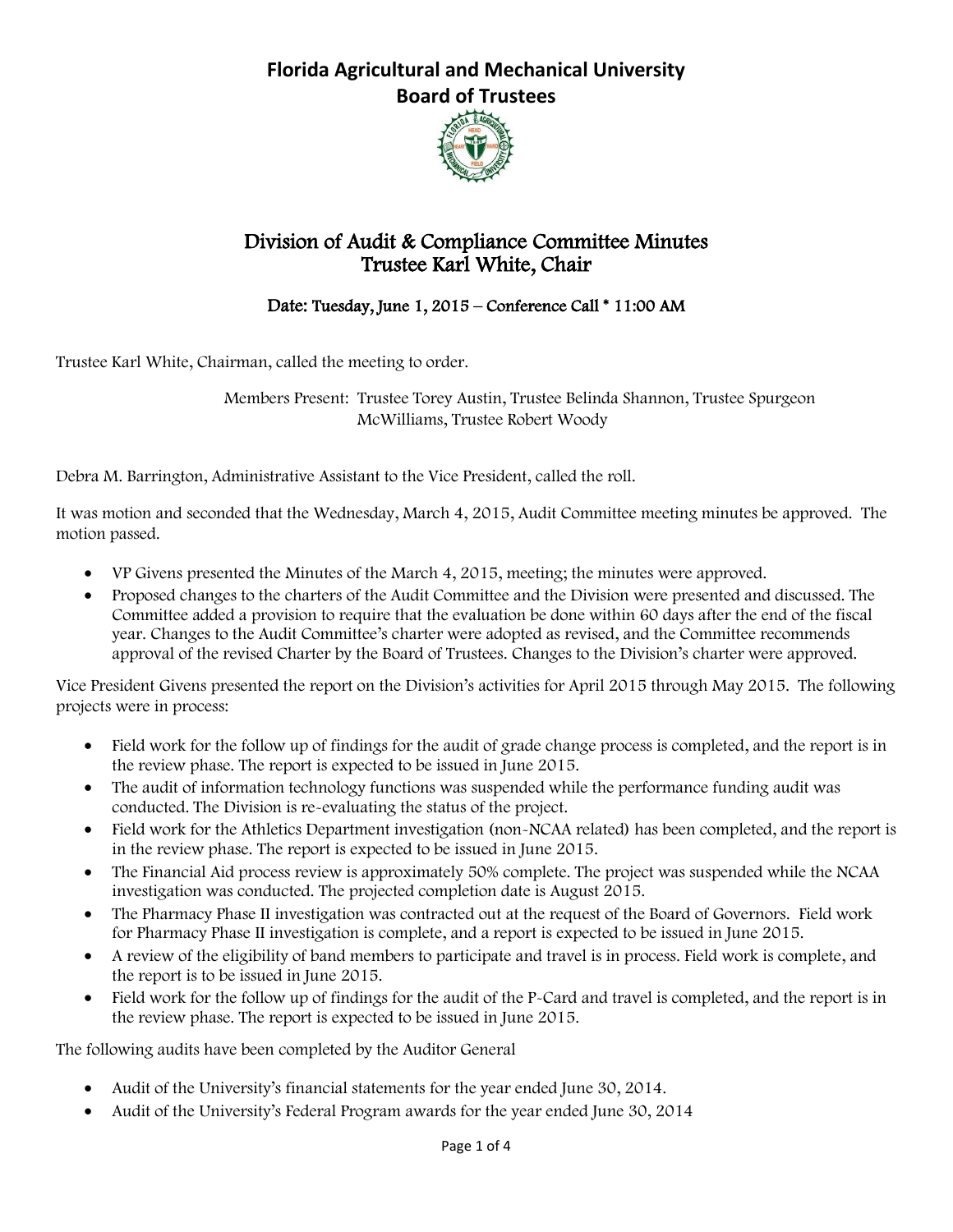

## Division of Audit & Compliance Committee Minutes Trustee Karl White, Chair

Date: Tuesday, June 1, 2015 – Conference Call \* 11:00 AM

Trustee Karl White, Chairman, called the meeting to order.

Members Present: Trustee Torey Austin, Trustee Belinda Shannon, Trustee Spurgeon McWilliams, Trustee Robert Woody

Debra M. Barrington, Administrative Assistant to the Vice President, called the roll.

It was motion and seconded that the Wednesday, March 4, 2015, Audit Committee meeting minutes be approved. The motion passed.

- VP Givens presented the Minutes of the March 4, 2015, meeting; the minutes were approved.
- Proposed changes to the charters of the Audit Committee and the Division were presented and discussed. The Committee added a provision to require that the evaluation be done within 60 days after the end of the fiscal year. Changes to the Audit Committee's charter were adopted as revised, and the Committee recommends approval of the revised Charter by the Board of Trustees. Changes to the Division's charter were approved.

Vice President Givens presented the report on the Division's activities for April 2015 through May 2015. The following projects were in process:

- Field work for the follow up of findings for the audit of grade change process is completed, and the report is in the review phase. The report is expected to be issued in June 2015.
- The audit of information technology functions was suspended while the performance funding audit was conducted. The Division is re-evaluating the status of the project.
- Field work for the Athletics Department investigation (non-NCAA related) has been completed, and the report is in the review phase. The report is expected to be issued in June 2015.
- The Financial Aid process review is approximately 50% complete. The project was suspended while the NCAA investigation was conducted. The projected completion date is August 2015.
- The Pharmacy Phase II investigation was contracted out at the request of the Board of Governors. Field work for Pharmacy Phase II investigation is complete, and a report is expected to be issued in June 2015.
- A review of the eligibility of band members to participate and travel is in process. Field work is complete, and the report is to be issued in June 2015.
- Field work for the follow up of findings for the audit of the P-Card and travel is completed, and the report is in the review phase. The report is expected to be issued in June 2015.

The following audits have been completed by the Auditor General

- Audit of the University's financial statements for the year ended June 30, 2014.
- Audit of the University's Federal Program awards for the year ended June 30, 2014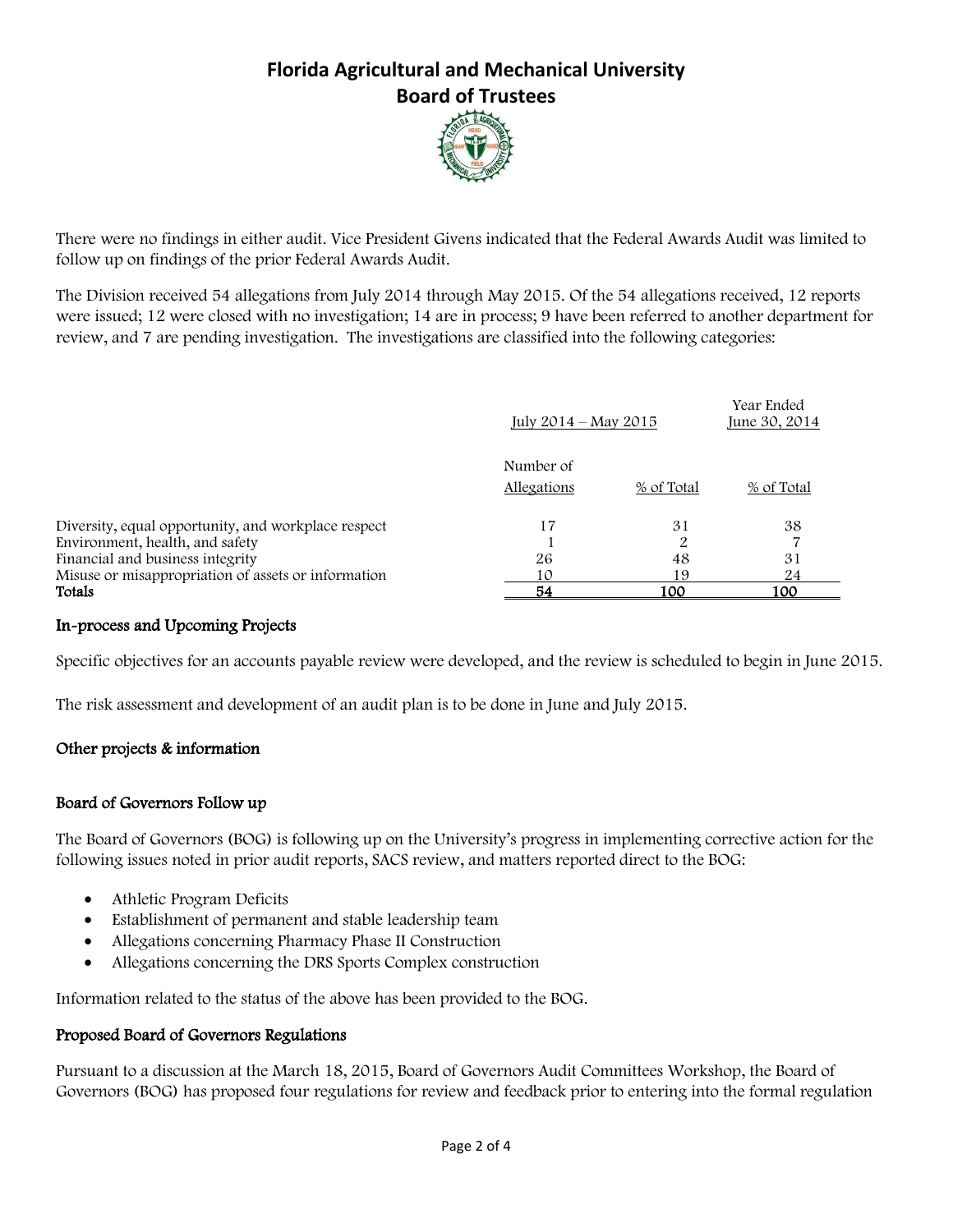

There were no findings in either audit. Vice President Givens indicated that the Federal Awards Audit was limited to follow up on findings of the prior Federal Awards Audit.

The Division received 54 allegations from July 2014 through May 2015. Of the 54 allegations received, 12 reports were issued; 12 were closed with no investigation; 14 are in process; 9 have been referred to another department for review, and 7 are pending investigation. The investigations are classified into the following categories:

|                                                     | July $2014 - \text{Mav } 2015$ |            | Year Ended<br>June 30, 2014 |
|-----------------------------------------------------|--------------------------------|------------|-----------------------------|
|                                                     | Number of                      |            |                             |
|                                                     | Allegations                    | % of Total | % of Total                  |
| Diversity, equal opportunity, and workplace respect | 17                             | 31         | 38                          |
| Environment, health, and safety                     |                                |            |                             |
| Financial and business integrity                    | 26                             | 48         | 31                          |
| Misuse or misappropriation of assets or information | 10                             | 19         | 24                          |
| Totals                                              | 54                             | 100        | 100                         |

#### In-process and Upcoming Projects

Specific objectives for an accounts payable review were developed, and the review is scheduled to begin in June 2015.

The risk assessment and development of an audit plan is to be done in June and July 2015.

### Other projects & information

#### Board of Governors Follow up

The Board of Governors (BOG) is following up on the University's progress in implementing corrective action for the following issues noted in prior audit reports, SACS review, and matters reported direct to the BOG:

- Athletic Program Deficits
- Establishment of permanent and stable leadership team
- Allegations concerning Pharmacy Phase II Construction
- Allegations concerning the DRS Sports Complex construction

Information related to the status of the above has been provided to the BOG.

#### Proposed Board of Governors Regulations

Pursuant to a discussion at the March 18, 2015, Board of Governors Audit Committees Workshop, the Board of Governors (BOG) has proposed four regulations for review and feedback prior to entering into the formal regulation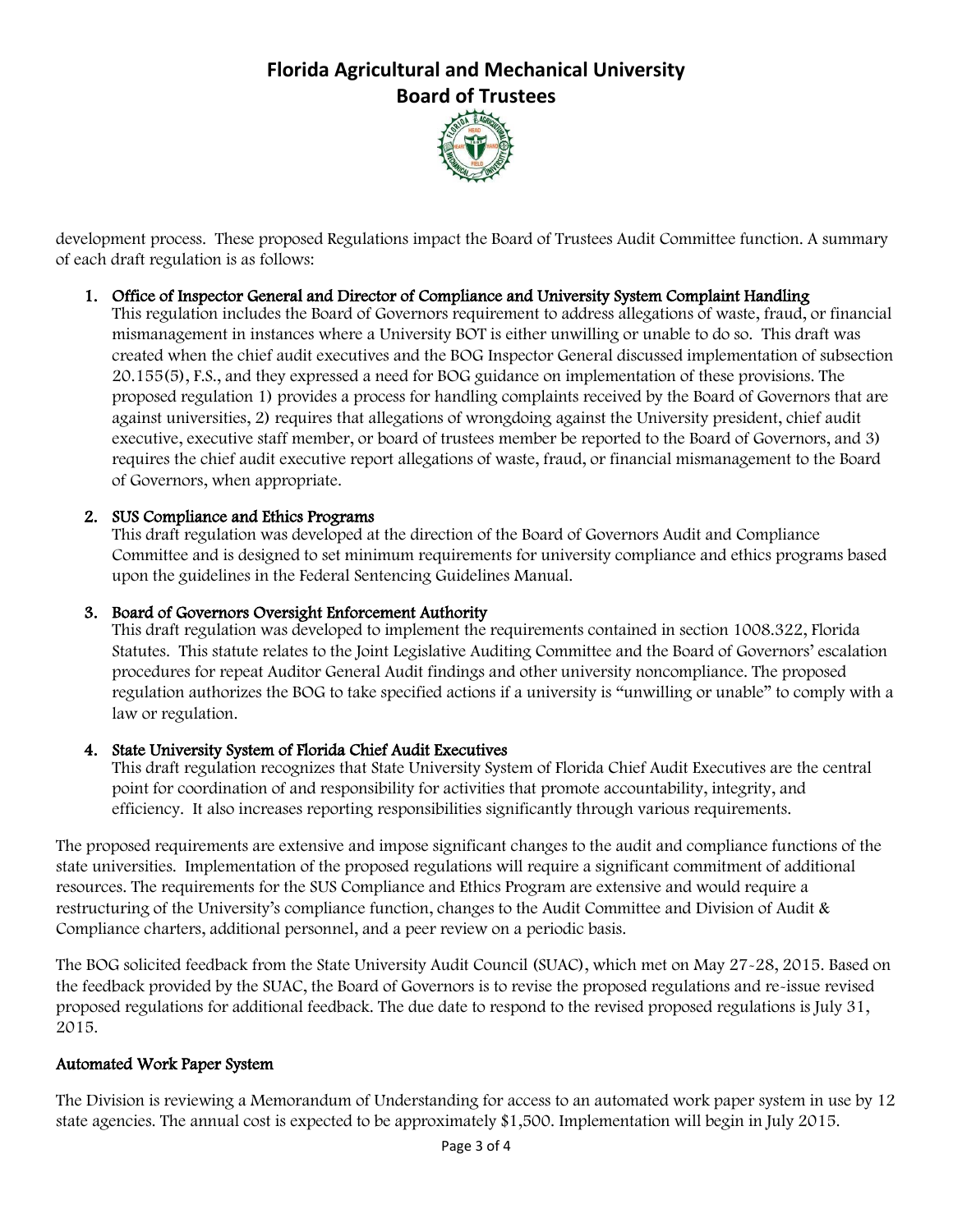

development process. These proposed Regulations impact the Board of Trustees Audit Committee function. A summary of each draft regulation is as follows:

### 1. Office of Inspector General and Director of Compliance and University System Complaint Handling

This regulation includes the Board of Governors requirement to address allegations of waste, fraud, or financial mismanagement in instances where a University BOT is either unwilling or unable to do so. This draft was created when the chief audit executives and the BOG Inspector General discussed implementation of subsection 20.155(5), F.S., and they expressed a need for BOG guidance on implementation of these provisions. The proposed regulation 1) provides a process for handling complaints received by the Board of Governors that are against universities, 2) requires that allegations of wrongdoing against the University president, chief audit executive, executive staff member, or board of trustees member be reported to the Board of Governors, and 3) requires the chief audit executive report allegations of waste, fraud, or financial mismanagement to the Board of Governors, when appropriate.

### 2. SUS Compliance and Ethics Programs

This draft regulation was developed at the direction of the Board of Governors Audit and Compliance Committee and is designed to set minimum requirements for university compliance and ethics programs based upon the guidelines in the Federal Sentencing Guidelines Manual.

### 3. Board of Governors Oversight Enforcement Authority

This draft regulation was developed to implement the requirements contained in section 1008.322, Florida Statutes. This statute relates to the Joint Legislative Auditing Committee and the Board of Governors' escalation procedures for repeat Auditor General Audit findings and other university noncompliance. The proposed regulation authorizes the BOG to take specified actions if a university is "unwilling or unable" to comply with a law or regulation.

## 4. State University System of Florida Chief Audit Executives

This draft regulation recognizes that State University System of Florida Chief Audit Executives are the central point for coordination of and responsibility for activities that promote accountability, integrity, and efficiency. It also increases reporting responsibilities significantly through various requirements.

The proposed requirements are extensive and impose significant changes to the audit and compliance functions of the state universities. Implementation of the proposed regulations will require a significant commitment of additional resources. The requirements for the SUS Compliance and Ethics Program are extensive and would require a restructuring of the University's compliance function, changes to the Audit Committee and Division of Audit & Compliance charters, additional personnel, and a peer review on a periodic basis.

The BOG solicited feedback from the State University Audit Council (SUAC), which met on May 27-28, 2015. Based on the feedback provided by the SUAC, the Board of Governors is to revise the proposed regulations and re-issue revised proposed regulations for additional feedback. The due date to respond to the revised proposed regulations is July 31, 2015.

### Automated Work Paper System

The Division is reviewing a Memorandum of Understanding for access to an automated work paper system in use by 12 state agencies. The annual cost is expected to be approximately \$1,500. Implementation will begin in July 2015.